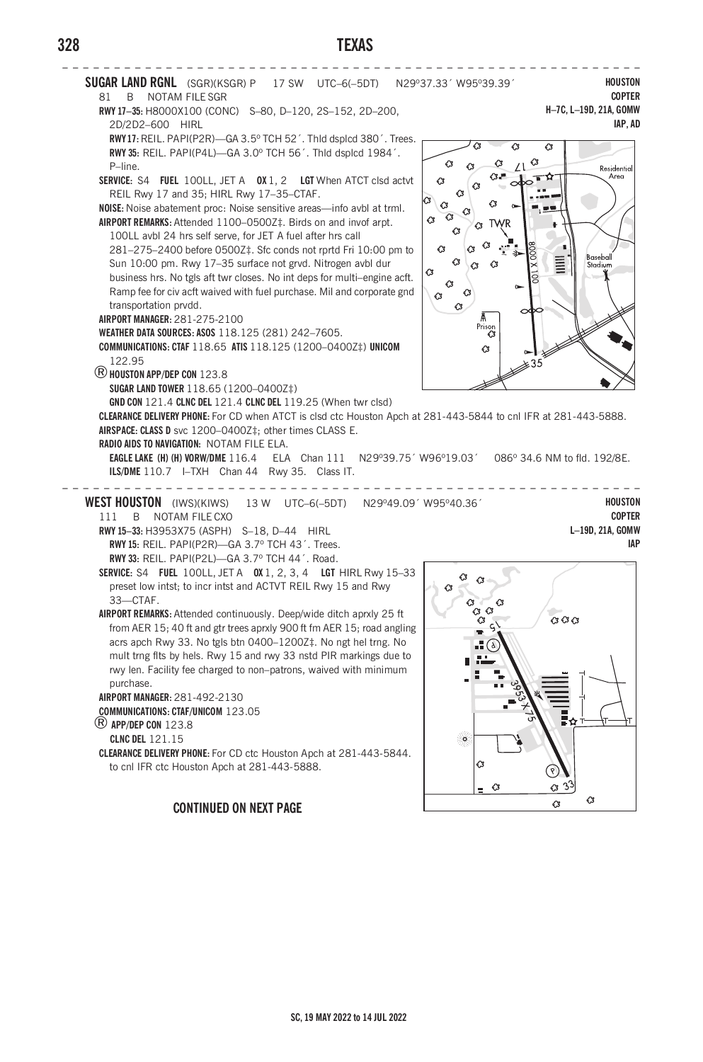# **328 TEXAS**



#### **CONTINUED ON NEXT PAGE**

 $\circ$  $\overline{c}$